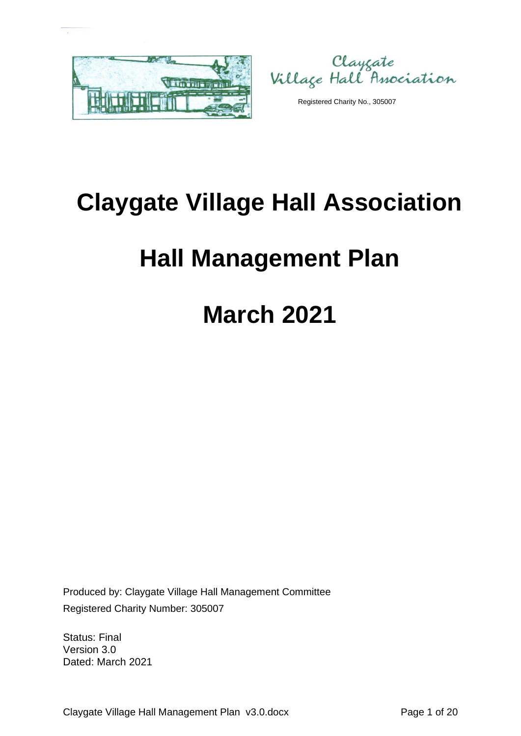

Clayçate<br>Village Hall Association

Registered Charity No., 305007

# **Claygate Village Hall Association**

# **Hall Management Plan**

# **March 2021**

Produced by: Claygate Village Hall Management Committee Registered Charity Number: 305007

Status: Final Version 3.0 Dated: March 2021

Claygate Village Hall Management Plan v3.0.docx Page 1 of 20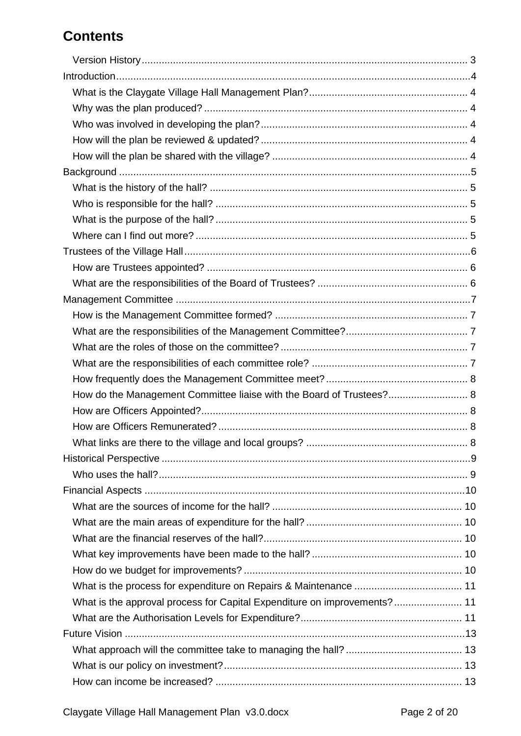# **Contents**

| How do the Management Committee liaise with the Board of Trustees? 8     |  |
|--------------------------------------------------------------------------|--|
|                                                                          |  |
|                                                                          |  |
|                                                                          |  |
|                                                                          |  |
|                                                                          |  |
|                                                                          |  |
|                                                                          |  |
|                                                                          |  |
|                                                                          |  |
|                                                                          |  |
|                                                                          |  |
|                                                                          |  |
| What is the approval process for Capital Expenditure on improvements? 11 |  |
|                                                                          |  |
|                                                                          |  |
|                                                                          |  |
|                                                                          |  |
|                                                                          |  |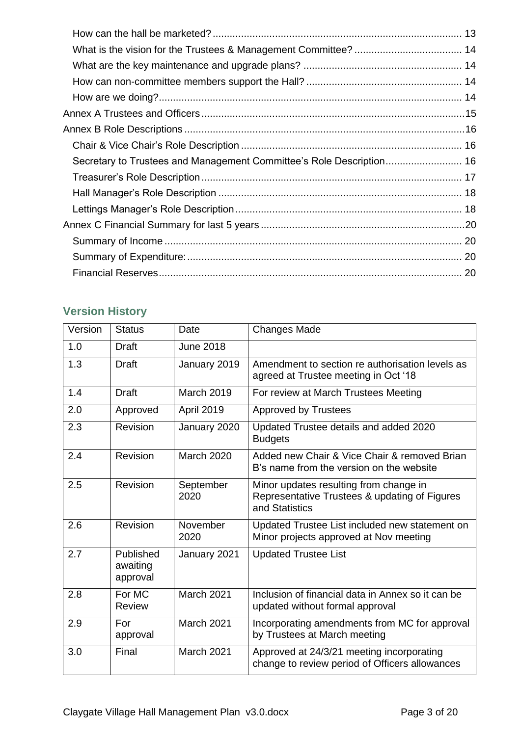| Secretary to Trustees and Management Committee's Role Description 16 |  |
|----------------------------------------------------------------------|--|
|                                                                      |  |
|                                                                      |  |
|                                                                      |  |
|                                                                      |  |
|                                                                      |  |
|                                                                      |  |
|                                                                      |  |

# <span id="page-2-0"></span>**Version History**

| Version | <b>Status</b>                     | Date              | <b>Changes Made</b>                                                                                       |
|---------|-----------------------------------|-------------------|-----------------------------------------------------------------------------------------------------------|
| 1.0     | <b>Draft</b>                      | <b>June 2018</b>  |                                                                                                           |
| 1.3     | <b>Draft</b>                      | January 2019      | Amendment to section re authorisation levels as<br>agreed at Trustee meeting in Oct '18                   |
| 1.4     | <b>Draft</b>                      | <b>March 2019</b> | For review at March Trustees Meeting                                                                      |
| 2.0     | Approved                          | April 2019        | <b>Approved by Trustees</b>                                                                               |
| 2.3     | Revision                          | January 2020      | Updated Trustee details and added 2020<br><b>Budgets</b>                                                  |
| 2.4     | Revision                          | <b>March 2020</b> | Added new Chair & Vice Chair & removed Brian<br>B's name from the version on the website                  |
| 2.5     | Revision                          | September<br>2020 | Minor updates resulting from change in<br>Representative Trustees & updating of Figures<br>and Statistics |
| 2.6     | Revision                          | November<br>2020  | Updated Trustee List included new statement on<br>Minor projects approved at Nov meeting                  |
| 2.7     | Published<br>awaiting<br>approval | January 2021      | <b>Updated Trustee List</b>                                                                               |
| 2.8     | For MC<br><b>Review</b>           | March 2021        | Inclusion of financial data in Annex so it can be<br>updated without formal approval                      |
| 2.9     | For<br>approval                   | <b>March 2021</b> | Incorporating amendments from MC for approval<br>by Trustees at March meeting                             |
| 3.0     | Final                             | March 2021        | Approved at 24/3/21 meeting incorporating<br>change to review period of Officers allowances               |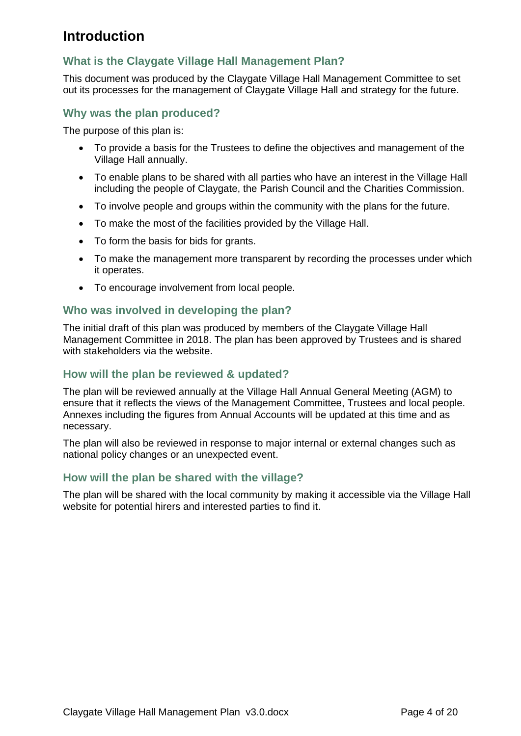# <span id="page-3-0"></span>**Introduction**

## <span id="page-3-1"></span>**What is the Claygate Village Hall Management Plan?**

This document was produced by the Claygate Village Hall Management Committee to set out its processes for the management of Claygate Village Hall and strategy for the future.

#### <span id="page-3-2"></span>**Why was the plan produced?**

The purpose of this plan is:

- To provide a basis for the Trustees to define the objectives and management of the Village Hall annually.
- To enable plans to be shared with all parties who have an interest in the Village Hall including the people of Claygate, the Parish Council and the Charities Commission.
- To involve people and groups within the community with the plans for the future.
- To make the most of the facilities provided by the Village Hall.
- To form the basis for bids for grants.
- To make the management more transparent by recording the processes under which it operates.
- To encourage involvement from local people.

#### <span id="page-3-3"></span>**Who was involved in developing the plan?**

The initial draft of this plan was produced by members of the Claygate Village Hall Management Committee in 2018. The plan has been approved by Trustees and is shared with stakeholders via the website.

#### <span id="page-3-4"></span>**How will the plan be reviewed & updated?**

The plan will be reviewed annually at the Village Hall Annual General Meeting (AGM) to ensure that it reflects the views of the Management Committee, Trustees and local people. Annexes including the figures from Annual Accounts will be updated at this time and as necessary.

The plan will also be reviewed in response to major internal or external changes such as national policy changes or an unexpected event.

#### <span id="page-3-5"></span>**How will the plan be shared with the village?**

The plan will be shared with the local community by making it accessible via the Village Hall website for potential hirers and interested parties to find it.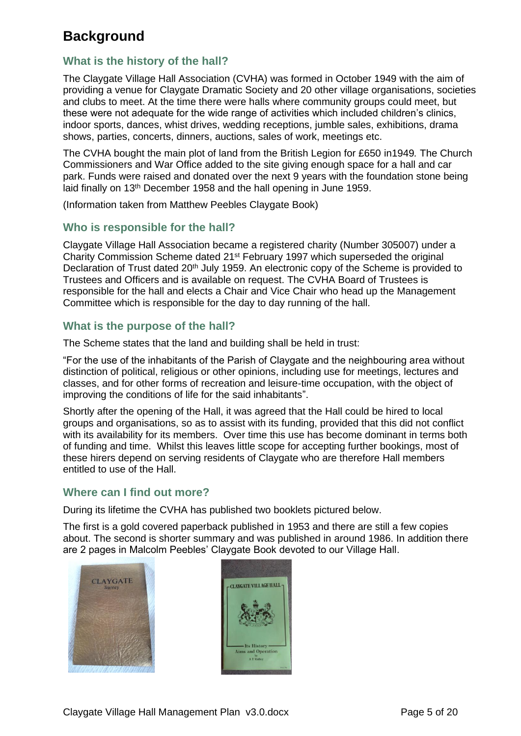# <span id="page-4-0"></span>**Background**

#### <span id="page-4-1"></span>**What is the history of the hall?**

The Claygate Village Hall Association (CVHA) was formed in October 1949 with the aim of providing a venue for Claygate Dramatic Society and 20 other village organisations, societies and clubs to meet. At the time there were halls where community groups could meet, but these were not adequate for the wide range of activities which included children's clinics, indoor sports, dances, whist drives, wedding receptions, jumble sales, exhibitions, drama shows, parties, concerts, dinners, auctions, sales of work, meetings etc.

The CVHA bought the main plot of land from the British Legion for £650 in1949*.* The Church Commissioners and War Office added to the site giving enough space for a hall and car park. Funds were raised and donated over the next 9 years with the foundation stone being laid finally on 13th December 1958 and the hall opening in June 1959.

(Information taken from Matthew Peebles Claygate Book)

#### <span id="page-4-2"></span>**Who is responsible for the hall?**

Claygate Village Hall Association became a registered charity (Number 305007) under a Charity Commission Scheme dated 21st February 1997 which superseded the original Declaration of Trust dated 20<sup>th</sup> July 1959. An electronic copy of the Scheme is provided to Trustees and Officers and is available on request. The CVHA Board of Trustees is responsible for the hall and elects a Chair and Vice Chair who head up the Management Committee which is responsible for the day to day running of the hall.

#### <span id="page-4-3"></span>**What is the purpose of the hall?**

The Scheme states that the land and building shall be held in trust:

"For the use of the inhabitants of the Parish of Claygate and the neighbouring area without distinction of political, religious or other opinions, including use for meetings, lectures and classes, and for other forms of recreation and leisure-time occupation, with the object of improving the conditions of life for the said inhabitants".

Shortly after the opening of the Hall, it was agreed that the Hall could be hired to local groups and organisations, so as to assist with its funding, provided that this did not conflict with its availability for its members. Over time this use has become dominant in terms both of funding and time. Whilst this leaves little scope for accepting further bookings, most of these hirers depend on serving residents of Claygate who are therefore Hall members entitled to use of the Hall.

#### <span id="page-4-4"></span>**Where can I find out more?**

During its lifetime the CVHA has published two booklets pictured below.

The first is a gold covered paperback published in 1953 and there are still a few copies about. The second is shorter summary and was published in around 1986. In addition there are 2 pages in Malcolm Peebles' Claygate Book devoted to our Village Hall.



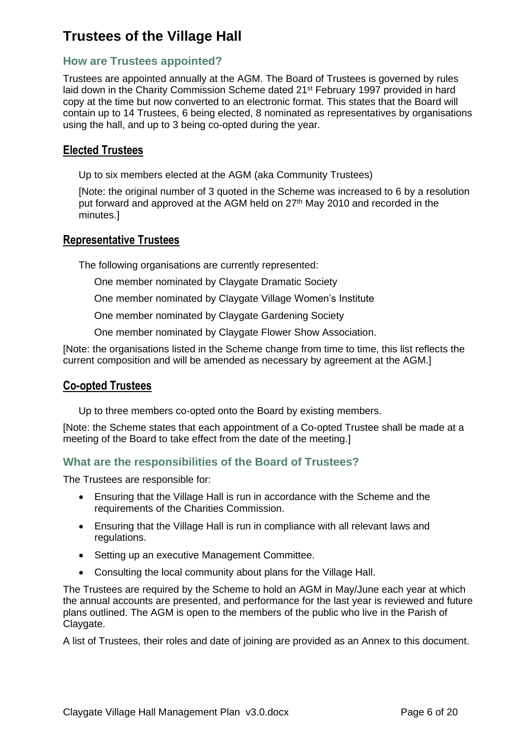# <span id="page-5-0"></span>**Trustees of the Village Hall**

### <span id="page-5-1"></span>**How are Trustees appointed?**

Trustees are appointed annually at the AGM. The Board of Trustees is governed by rules laid down in the Charity Commission Scheme dated 21st February 1997 provided in hard copy at the time but now converted to an electronic format. This states that the Board will contain up to 14 Trustees, 6 being elected, 8 nominated as representatives by organisations using the hall, and up to 3 being co-opted during the year.

### **Elected Trustees**

Up to six members elected at the AGM (aka Community Trustees)

[Note: the original number of 3 quoted in the Scheme was increased to 6 by a resolution put forward and approved at the AGM held on 27<sup>th</sup> May 2010 and recorded in the minutes.]

#### **Representative Trustees**

The following organisations are currently represented:

- One member nominated by Claygate Dramatic Society
- One member nominated by Claygate Village Women's Institute
- One member nominated by Claygate Gardening Society
- One member nominated by Claygate Flower Show Association.

[Note: the organisations listed in the Scheme change from time to time, this list reflects the current composition and will be amended as necessary by agreement at the AGM.]

#### **Co-opted Trustees**

Up to three members co-opted onto the Board by existing members.

[Note: the Scheme states that each appointment of a Co-opted Trustee shall be made at a meeting of the Board to take effect from the date of the meeting.]

#### <span id="page-5-2"></span>**What are the responsibilities of the Board of Trustees?**

The Trustees are responsible for:

- Ensuring that the Village Hall is run in accordance with the Scheme and the requirements of the Charities Commission.
- Ensuring that the Village Hall is run in compliance with all relevant laws and regulations.
- Setting up an executive Management Committee.
- Consulting the local community about plans for the Village Hall.

The Trustees are required by the Scheme to hold an AGM in May/June each year at which the annual accounts are presented, and performance for the last year is reviewed and future plans outlined. The AGM is open to the members of the public who live in the Parish of Claygate.

A list of Trustees, their roles and date of joining are provided as an Annex to this document.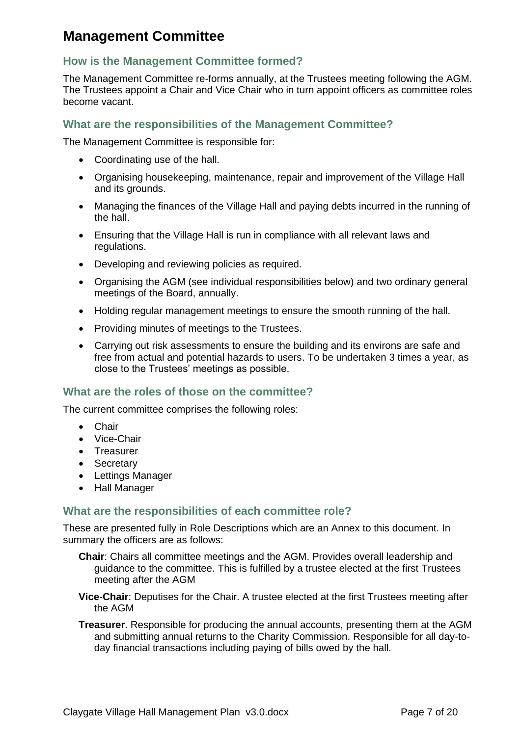# <span id="page-6-0"></span>**Management Committee**

## <span id="page-6-1"></span>**How is the Management Committee formed?**

The Management Committee re-forms annually, at the Trustees meeting following the AGM. The Trustees appoint a Chair and Vice Chair who in turn appoint officers as committee roles become vacant.

#### <span id="page-6-2"></span>**What are the responsibilities of the Management Committee?**

The Management Committee is responsible for:

- Coordinating use of the hall.
- Organising housekeeping, maintenance, repair and improvement of the Village Hall and its grounds.
- Managing the finances of the Village Hall and paying debts incurred in the running of the hall.
- Ensuring that the Village Hall is run in compliance with all relevant laws and regulations.
- Developing and reviewing policies as required.
- Organising the AGM (see individual responsibilities below) and two ordinary general meetings of the Board, annually.
- Holding regular management meetings to ensure the smooth running of the hall.
- Providing minutes of meetings to the Trustees.
- Carrying out risk assessments to ensure the building and its environs are safe and free from actual and potential hazards to users. To be undertaken 3 times a year, as close to the Trustees' meetings as possible.

#### <span id="page-6-3"></span>**What are the roles of those on the committee?**

The current committee comprises the following roles:

- Chair
- Vice-Chair
- Treasurer
- Secretary
- Lettings Manager
- Hall Manager

#### <span id="page-6-4"></span>**What are the responsibilities of each committee role?**

These are presented fully in Role Descriptions which are an Annex to this document. In summary the officers are as follows:

- **Chair**: Chairs all committee meetings and the AGM. Provides overall leadership and guidance to the committee. This is fulfilled by a trustee elected at the first Trustees meeting after the AGM
- **Vice-Chair**: Deputises for the Chair. A trustee elected at the first Trustees meeting after the AGM
- **Treasurer**. Responsible for producing the annual accounts, presenting them at the AGM and submitting annual returns to the Charity Commission. Responsible for all day-today financial transactions including paying of bills owed by the hall.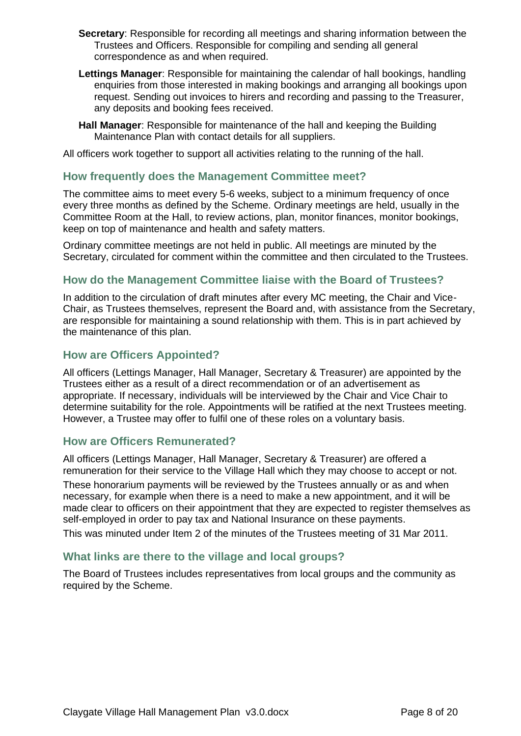- **Secretary**: Responsible for recording all meetings and sharing information between the Trustees and Officers. Responsible for compiling and sending all general correspondence as and when required.
- **Lettings Manager**: Responsible for maintaining the calendar of hall bookings, handling enquiries from those interested in making bookings and arranging all bookings upon request. Sending out invoices to hirers and recording and passing to the Treasurer, any deposits and booking fees received.
- **Hall Manager**: Responsible for maintenance of the hall and keeping the Building Maintenance Plan with contact details for all suppliers.

All officers work together to support all activities relating to the running of the hall.

#### <span id="page-7-0"></span>**How frequently does the Management Committee meet?**

The committee aims to meet every 5-6 weeks, subject to a minimum frequency of once every three months as defined by the Scheme. Ordinary meetings are held, usually in the Committee Room at the Hall, to review actions, plan, monitor finances, monitor bookings, keep on top of maintenance and health and safety matters.

Ordinary committee meetings are not held in public. All meetings are minuted by the Secretary, circulated for comment within the committee and then circulated to the Trustees.

### <span id="page-7-1"></span>**How do the Management Committee liaise with the Board of Trustees?**

In addition to the circulation of draft minutes after every MC meeting, the Chair and Vice-Chair, as Trustees themselves, represent the Board and, with assistance from the Secretary, are responsible for maintaining a sound relationship with them. This is in part achieved by the maintenance of this plan.

#### <span id="page-7-2"></span>**How are Officers Appointed?**

All officers (Lettings Manager, Hall Manager, Secretary & Treasurer) are appointed by the Trustees either as a result of a direct recommendation or of an advertisement as appropriate. If necessary, individuals will be interviewed by the Chair and Vice Chair to determine suitability for the role. Appointments will be ratified at the next Trustees meeting. However, a Trustee may offer to fulfil one of these roles on a voluntary basis.

#### <span id="page-7-3"></span>**How are Officers Remunerated?**

All officers (Lettings Manager, Hall Manager, Secretary & Treasurer) are offered a remuneration for their service to the Village Hall which they may choose to accept or not.

These honorarium payments will be reviewed by the Trustees annually or as and when necessary, for example when there is a need to make a new appointment, and it will be made clear to officers on their appointment that they are expected to register themselves as self-employed in order to pay tax and National Insurance on these payments. This was minuted under Item 2 of the minutes of the Trustees meeting of 31 Mar 2011.

#### <span id="page-7-4"></span>**What links are there to the village and local groups?**

The Board of Trustees includes representatives from local groups and the community as required by the Scheme.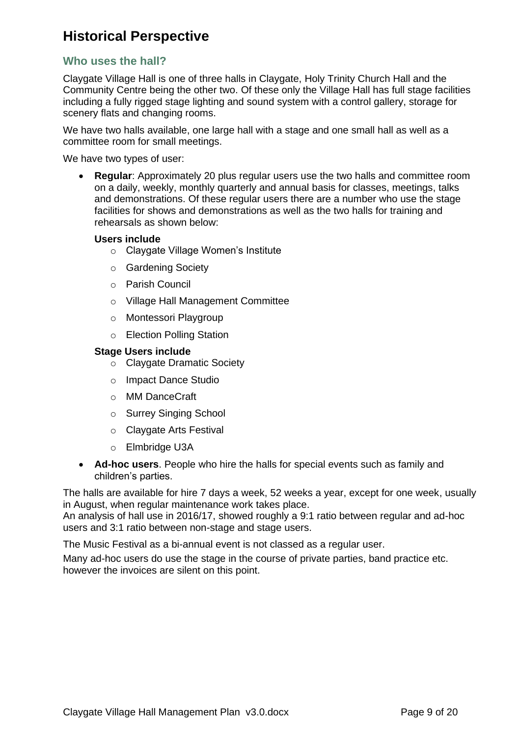# <span id="page-8-0"></span>**Historical Perspective**

#### <span id="page-8-1"></span>**Who uses the hall?**

Claygate Village Hall is one of three halls in Claygate, Holy Trinity Church Hall and the Community Centre being the other two. Of these only the Village Hall has full stage facilities including a fully rigged stage lighting and sound system with a control gallery, storage for scenery flats and changing rooms.

We have two halls available, one large hall with a stage and one small hall as well as a committee room for small meetings.

We have two types of user:

• **Regular**: Approximately 20 plus regular users use the two halls and committee room on a daily, weekly, monthly quarterly and annual basis for classes, meetings, talks and demonstrations. Of these regular users there are a number who use the stage facilities for shows and demonstrations as well as the two halls for training and rehearsals as shown below:

#### **Users include**

- o Claygate Village Women's Institute
- o Gardening Society
- o Parish Council
- o Village Hall Management Committee
- o Montessori Playgroup
- o Election Polling Station

#### **Stage Users include**

- o Claygate Dramatic Society
- o Impact Dance Studio
- o MM DanceCraft
- o Surrey Singing School
- o Claygate Arts Festival
- o Elmbridge U3A
- **Ad-hoc users**. People who hire the halls for special events such as family and children's parties.

The halls are available for hire 7 days a week, 52 weeks a year, except for one week, usually in August, when regular maintenance work takes place.

An analysis of hall use in 2016/17, showed roughly a 9:1 ratio between regular and ad-hoc users and 3:1 ratio between non-stage and stage users.

The Music Festival as a bi-annual event is not classed as a regular user.

Many ad-hoc users do use the stage in the course of private parties, band practice etc. however the invoices are silent on this point.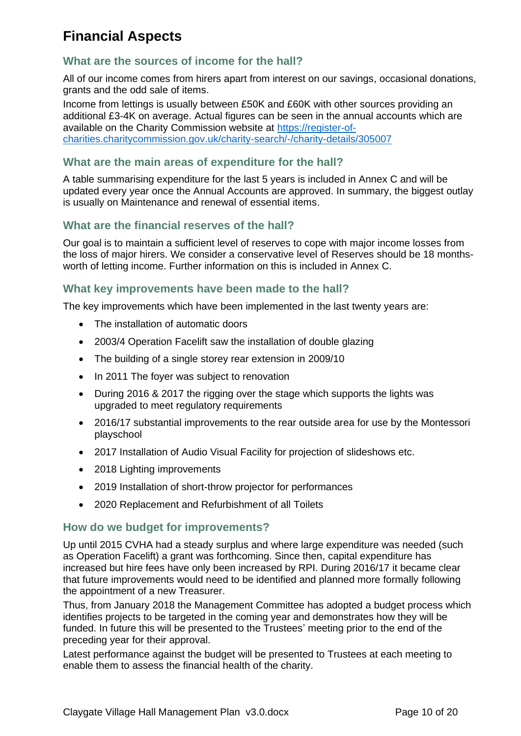# <span id="page-9-0"></span>**Financial Aspects**

### <span id="page-9-1"></span>**What are the sources of income for the hall?**

All of our income comes from hirers apart from interest on our savings, occasional donations, grants and the odd sale of items.

Income from lettings is usually between £50K and £60K with other sources providing an additional £3-4K on average. Actual figures can be seen in the annual accounts which are available on the Charity Commission website at [https://register-of](https://register-of-charities.charitycommission.gov.uk/charity-search/-/charity-details/305007)[charities.charitycommission.gov.uk/charity-search/-/charity-details/305007](https://register-of-charities.charitycommission.gov.uk/charity-search/-/charity-details/305007)

#### <span id="page-9-2"></span>**What are the main areas of expenditure for the hall?**

A table summarising expenditure for the last 5 years is included in Annex C and will be updated every year once the Annual Accounts are approved. In summary, the biggest outlay is usually on Maintenance and renewal of essential items.

### <span id="page-9-3"></span>**What are the financial reserves of the hall?**

Our goal is to maintain a sufficient level of reserves to cope with major income losses from the loss of major hirers. We consider a conservative level of Reserves should be 18 monthsworth of letting income. Further information on this is included in Annex C.

#### <span id="page-9-4"></span>**What key improvements have been made to the hall?**

The key improvements which have been implemented in the last twenty years are:

- The installation of automatic doors
- 2003/4 Operation Facelift saw the installation of double glazing
- The building of a single storey rear extension in 2009/10
- In 2011 The foyer was subject to renovation
- During 2016 & 2017 the rigging over the stage which supports the lights was upgraded to meet regulatory requirements
- 2016/17 substantial improvements to the rear outside area for use by the Montessori playschool
- 2017 Installation of Audio Visual Facility for projection of slideshows etc.
- 2018 Lighting improvements
- 2019 Installation of short-throw projector for performances
- 2020 Replacement and Refurbishment of all Toilets

#### <span id="page-9-5"></span>**How do we budget for improvements?**

Up until 2015 CVHA had a steady surplus and where large expenditure was needed (such as Operation Facelift) a grant was forthcoming. Since then, capital expenditure has increased but hire fees have only been increased by RPI. During 2016/17 it became clear that future improvements would need to be identified and planned more formally following the appointment of a new Treasurer.

Thus, from January 2018 the Management Committee has adopted a budget process which identifies projects to be targeted in the coming year and demonstrates how they will be funded. In future this will be presented to the Trustees' meeting prior to the end of the preceding year for their approval.

Latest performance against the budget will be presented to Trustees at each meeting to enable them to assess the financial health of the charity.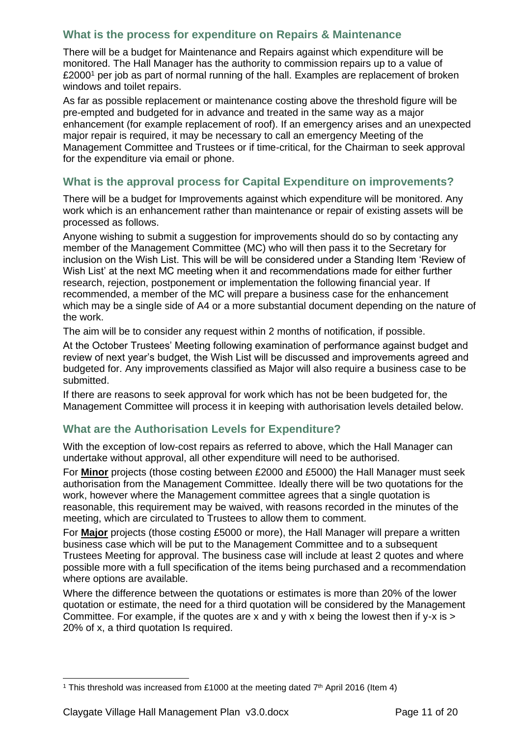# <span id="page-10-0"></span>**What is the process for expenditure on Repairs & Maintenance**

There will be a budget for Maintenance and Repairs against which expenditure will be monitored. The Hall Manager has the authority to commission repairs up to a value of £2000<sup>1</sup> per job as part of normal running of the hall. Examples are replacement of broken windows and toilet repairs.

As far as possible replacement or maintenance costing above the threshold figure will be pre-empted and budgeted for in advance and treated in the same way as a major enhancement (for example replacement of roof). If an emergency arises and an unexpected major repair is required, it may be necessary to call an emergency Meeting of the Management Committee and Trustees or if time-critical, for the Chairman to seek approval for the expenditure via email or phone.

### <span id="page-10-1"></span>**What is the approval process for Capital Expenditure on improvements?**

There will be a budget for Improvements against which expenditure will be monitored. Any work which is an enhancement rather than maintenance or repair of existing assets will be processed as follows.

Anyone wishing to submit a suggestion for improvements should do so by contacting any member of the Management Committee (MC) who will then pass it to the Secretary for inclusion on the Wish List. This will be will be considered under a Standing Item 'Review of Wish List' at the next MC meeting when it and recommendations made for either further research, rejection, postponement or implementation the following financial year. If recommended, a member of the MC will prepare a business case for the enhancement which may be a single side of A4 or a more substantial document depending on the nature of the work.

The aim will be to consider any request within 2 months of notification, if possible.

At the October Trustees' Meeting following examination of performance against budget and review of next year's budget, the Wish List will be discussed and improvements agreed and budgeted for. Any improvements classified as Major will also require a business case to be submitted.

If there are reasons to seek approval for work which has not be been budgeted for, the Management Committee will process it in keeping with authorisation levels detailed below.

## <span id="page-10-2"></span>**What are the Authorisation Levels for Expenditure?**

With the exception of low-cost repairs as referred to above, which the Hall Manager can undertake without approval, all other expenditure will need to be authorised.

For **Minor** projects (those costing between £2000 and £5000) the Hall Manager must seek authorisation from the Management Committee. Ideally there will be two quotations for the work, however where the Management committee agrees that a single quotation is reasonable, this requirement may be waived, with reasons recorded in the minutes of the meeting, which are circulated to Trustees to allow them to comment.

For **Major** projects (those costing £5000 or more), the Hall Manager will prepare a written business case which will be put to the Management Committee and to a subsequent Trustees Meeting for approval. The business case will include at least 2 quotes and where possible more with a full specification of the items being purchased and a recommendation where options are available.

Where the difference between the quotations or estimates is more than 20% of the lower quotation or estimate, the need for a third quotation will be considered by the Management Committee. For example, if the quotes are x and y with x being the lowest then if y-x is > 20% of x, a third quotation Is required.

<sup>&</sup>lt;sup>1</sup> This threshold was increased from £1000 at the meeting dated  $7<sup>th</sup>$  April 2016 (Item 4)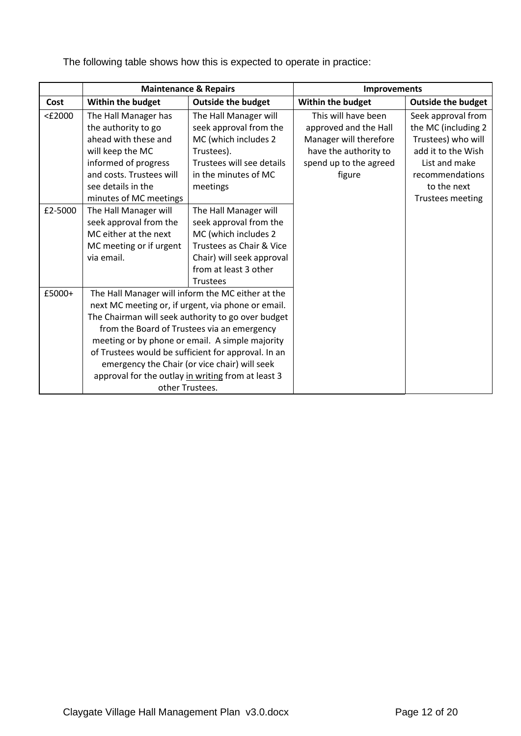|         |                                                     | <b>Maintenance &amp; Repairs</b>                   | <b>Improvements</b>    |                           |  |
|---------|-----------------------------------------------------|----------------------------------------------------|------------------------|---------------------------|--|
| Cost    | Within the budget                                   | <b>Outside the budget</b>                          | Within the budget      | <b>Outside the budget</b> |  |
| <£2000  | The Hall Manager has                                | The Hall Manager will                              | This will have been    | Seek approval from        |  |
|         | the authority to go                                 | seek approval from the                             | approved and the Hall  | the MC (including 2       |  |
|         | ahead with these and                                | MC (which includes 2                               | Manager will therefore | Trustees) who will        |  |
|         | will keep the MC                                    | Trustees).                                         | have the authority to  | add it to the Wish        |  |
|         | informed of progress                                | Trustees will see details                          | spend up to the agreed | List and make             |  |
|         | and costs. Trustees will                            | in the minutes of MC                               | figure                 | recommendations           |  |
|         | see details in the                                  | meetings                                           |                        | to the next               |  |
|         | minutes of MC meetings                              |                                                    |                        | <b>Trustees meeting</b>   |  |
| £2-5000 | The Hall Manager will                               | The Hall Manager will                              |                        |                           |  |
|         | seek approval from the                              | seek approval from the                             |                        |                           |  |
|         | MC either at the next                               | MC (which includes 2                               |                        |                           |  |
|         | MC meeting or if urgent                             | Trustees as Chair & Vice                           |                        |                           |  |
|         | via email.                                          | Chair) will seek approval                          |                        |                           |  |
|         |                                                     | from at least 3 other                              |                        |                           |  |
|         |                                                     | <b>Trustees</b>                                    |                        |                           |  |
| £5000+  |                                                     | The Hall Manager will inform the MC either at the  |                        |                           |  |
|         |                                                     | next MC meeting or, if urgent, via phone or email. |                        |                           |  |
|         | The Chairman will seek authority to go over budget  |                                                    |                        |                           |  |
|         | from the Board of Trustees via an emergency         |                                                    |                        |                           |  |
|         |                                                     | meeting or by phone or email. A simple majority    |                        |                           |  |
|         | of Trustees would be sufficient for approval. In an |                                                    |                        |                           |  |
|         | emergency the Chair (or vice chair) will seek       |                                                    |                        |                           |  |
|         |                                                     | approval for the outlay in writing from at least 3 |                        |                           |  |
|         |                                                     | other Trustees.                                    |                        |                           |  |

The following table shows how this is expected to operate in practice: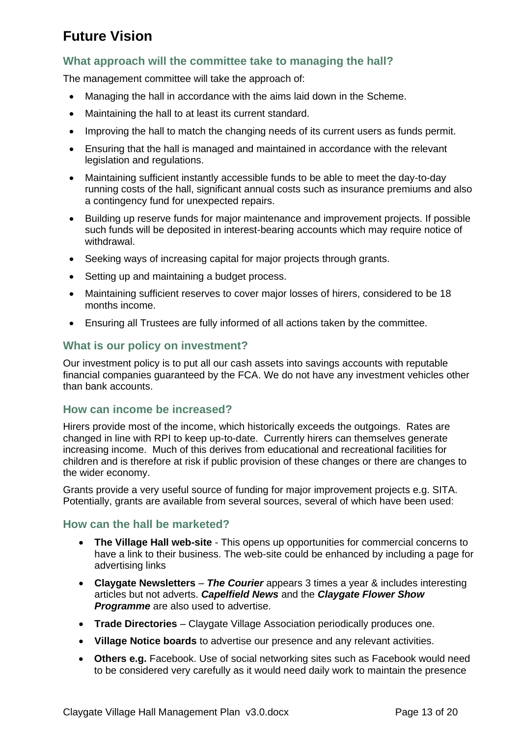# <span id="page-12-0"></span>**Future Vision**

## <span id="page-12-1"></span>**What approach will the committee take to managing the hall?**

The management committee will take the approach of:

- Managing the hall in accordance with the aims laid down in the Scheme.
- Maintaining the hall to at least its current standard.
- Improving the hall to match the changing needs of its current users as funds permit.
- Ensuring that the hall is managed and maintained in accordance with the relevant legislation and regulations.
- Maintaining sufficient instantly accessible funds to be able to meet the day-to-day running costs of the hall, significant annual costs such as insurance premiums and also a contingency fund for unexpected repairs.
- Building up reserve funds for major maintenance and improvement projects. If possible such funds will be deposited in interest-bearing accounts which may require notice of withdrawal.
- Seeking ways of increasing capital for major projects through grants.
- Setting up and maintaining a budget process.
- Maintaining sufficient reserves to cover major losses of hirers, considered to be 18 months income.
- Ensuring all Trustees are fully informed of all actions taken by the committee.

### <span id="page-12-2"></span>**What is our policy on investment?**

Our investment policy is to put all our cash assets into savings accounts with reputable financial companies guaranteed by the FCA. We do not have any investment vehicles other than bank accounts.

#### <span id="page-12-3"></span>**How can income be increased?**

Hirers provide most of the income, which historically exceeds the outgoings. Rates are changed in line with RPI to keep up-to-date. Currently hirers can themselves generate increasing income. Much of this derives from educational and recreational facilities for children and is therefore at risk if public provision of these changes or there are changes to the wider economy.

Grants provide a very useful source of funding for major improvement projects e.g. SITA. Potentially, grants are available from several sources, several of which have been used:

#### <span id="page-12-4"></span>**How can the hall be marketed?**

- **The Village Hall web-site**  This opens up opportunities for commercial concerns to have a link to their business. The web-site could be enhanced by including a page for advertising links
- **Claygate Newsletters**  *The Courier* appears 3 times a year & includes interesting articles but not adverts. *Capelfield News* and the *Claygate Flower Show Programme* are also used to advertise.
- **Trade Directories**  Claygate Village Association periodically produces one.
- **Village Notice boards** to advertise our presence and any relevant activities.
- **Others e.g.** Facebook. Use of social networking sites such as Facebook would need to be considered very carefully as it would need daily work to maintain the presence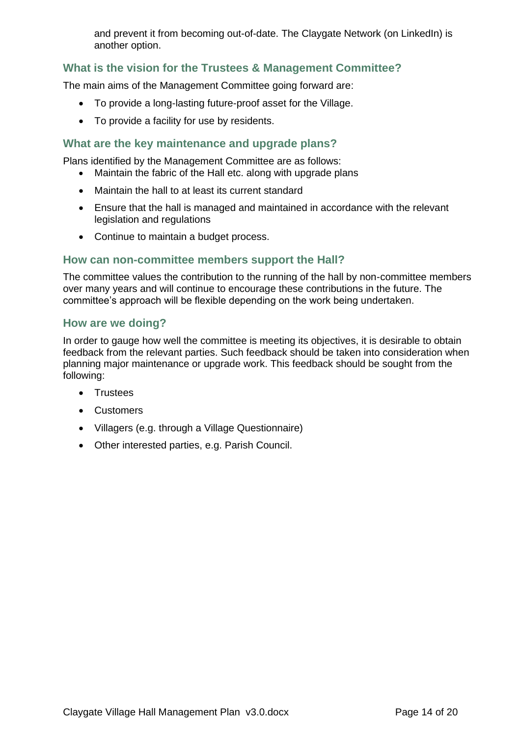and prevent it from becoming out-of-date. The Claygate Network (on LinkedIn) is another option.

## <span id="page-13-0"></span>**What is the vision for the Trustees & Management Committee?**

The main aims of the Management Committee going forward are:

- To provide a long-lasting future-proof asset for the Village.
- To provide a facility for use by residents.

#### <span id="page-13-1"></span>**What are the key maintenance and upgrade plans?**

Plans identified by the Management Committee are as follows:

- Maintain the fabric of the Hall etc. along with upgrade plans
- Maintain the hall to at least its current standard
- Ensure that the hall is managed and maintained in accordance with the relevant legislation and regulations
- Continue to maintain a budget process.

#### <span id="page-13-2"></span>**How can non-committee members support the Hall?**

The committee values the contribution to the running of the hall by non-committee members over many years and will continue to encourage these contributions in the future. The committee's approach will be flexible depending on the work being undertaken.

#### <span id="page-13-3"></span>**How are we doing?**

In order to gauge how well the committee is meeting its objectives, it is desirable to obtain feedback from the relevant parties. Such feedback should be taken into consideration when planning major maintenance or upgrade work. This feedback should be sought from the following:

- Trustees
- Customers
- Villagers (e.g. through a Village Questionnaire)
- Other interested parties, e.g. Parish Council.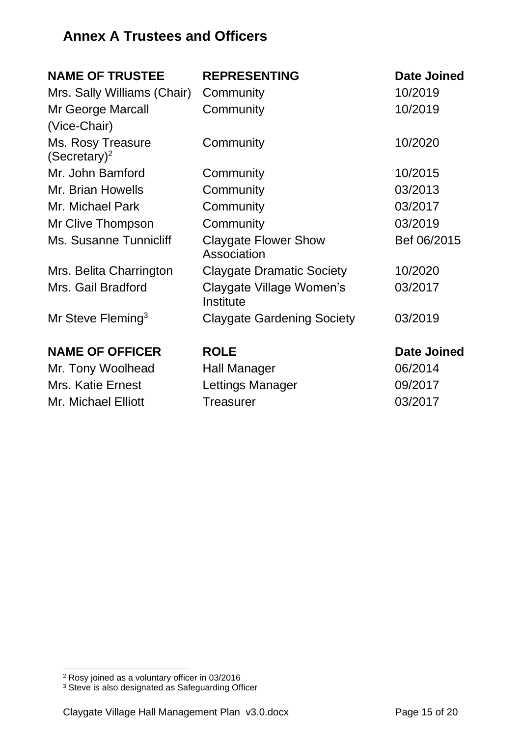# <span id="page-14-0"></span>**Annex A Trustees and Officers**

| <b>NAME OF TRUSTEE</b>                        | <b>REPRESENTING</b>                        | Date Joined        |
|-----------------------------------------------|--------------------------------------------|--------------------|
| Mrs. Sally Williams (Chair)                   | Community                                  | 10/2019            |
| Mr George Marcall                             | Community                                  | 10/2019            |
| (Vice-Chair)                                  |                                            |                    |
| Ms. Rosy Treasure<br>(Secretary) <sup>2</sup> | Community                                  | 10/2020            |
| Mr. John Bamford                              | Community                                  | 10/2015            |
| Mr. Brian Howells                             | Community                                  | 03/2013            |
| Mr. Michael Park                              | Community                                  | 03/2017            |
| Mr Clive Thompson                             | Community                                  | 03/2019            |
| Ms. Susanne Tunnicliff                        | <b>Claygate Flower Show</b><br>Association | Bef 06/2015        |
| Mrs. Belita Charrington                       | <b>Claygate Dramatic Society</b>           | 10/2020            |
| Mrs. Gail Bradford                            | Claygate Village Women's<br>Institute      | 03/2017            |
| Mr Steve Fleming <sup>3</sup>                 | <b>Claygate Gardening Society</b>          | 03/2019            |
| <b>NAME OF OFFICER</b>                        | <b>ROLE</b>                                | <b>Date Joined</b> |
| Mr. Tony Woolhead                             | <b>Hall Manager</b>                        | 06/2014            |
| <b>Mrs. Katie Ernest</b>                      | Lettings Manager                           | 09/2017            |
| <b>Mr. Michael Elliott</b>                    | <b>Treasurer</b>                           | 03/2017            |

<sup>2</sup> Rosy joined as a voluntary officer in 03/2016

<sup>&</sup>lt;sup>3</sup> Steve is also designated as Safeguarding Officer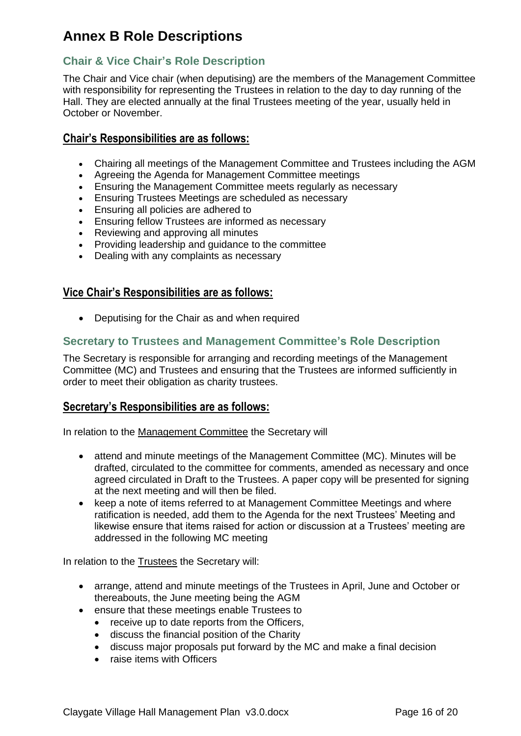# <span id="page-15-0"></span>**Annex B Role Descriptions**

## <span id="page-15-1"></span>**Chair & Vice Chair's Role Description**

The Chair and Vice chair (when deputising) are the members of the Management Committee with responsibility for representing the Trustees in relation to the day to day running of the Hall. They are elected annually at the final Trustees meeting of the year, usually held in October or November.

### **Chair's Responsibilities are as follows:**

- Chairing all meetings of the Management Committee and Trustees including the AGM
- Agreeing the Agenda for Management Committee meetings
- Ensuring the Management Committee meets regularly as necessary
- Ensuring Trustees Meetings are scheduled as necessary
- Ensuring all policies are adhered to
- Ensuring fellow Trustees are informed as necessary
- Reviewing and approving all minutes
- Providing leadership and guidance to the committee
- Dealing with any complaints as necessary

## **Vice Chair's Responsibilities are as follows:**

• Deputising for the Chair as and when required

## <span id="page-15-2"></span>**Secretary to Trustees and Management Committee's Role Description**

The Secretary is responsible for arranging and recording meetings of the Management Committee (MC) and Trustees and ensuring that the Trustees are informed sufficiently in order to meet their obligation as charity trustees.

#### **Secretary's Responsibilities are as follows:**

In relation to the Management Committee the Secretary will

- attend and minute meetings of the Management Committee (MC). Minutes will be drafted, circulated to the committee for comments, amended as necessary and once agreed circulated in Draft to the Trustees. A paper copy will be presented for signing at the next meeting and will then be filed.
- keep a note of items referred to at Management Committee Meetings and where ratification is needed, add them to the Agenda for the next Trustees' Meeting and likewise ensure that items raised for action or discussion at a Trustees' meeting are addressed in the following MC meeting

In relation to the Trustees the Secretary will:

- arrange, attend and minute meetings of the Trustees in April, June and October or thereabouts, the June meeting being the AGM
- ensure that these meetings enable Trustees to
	- receive up to date reports from the Officers,
	- discuss the financial position of the Charity
	- discuss major proposals put forward by the MC and make a final decision
	- raise items with Officers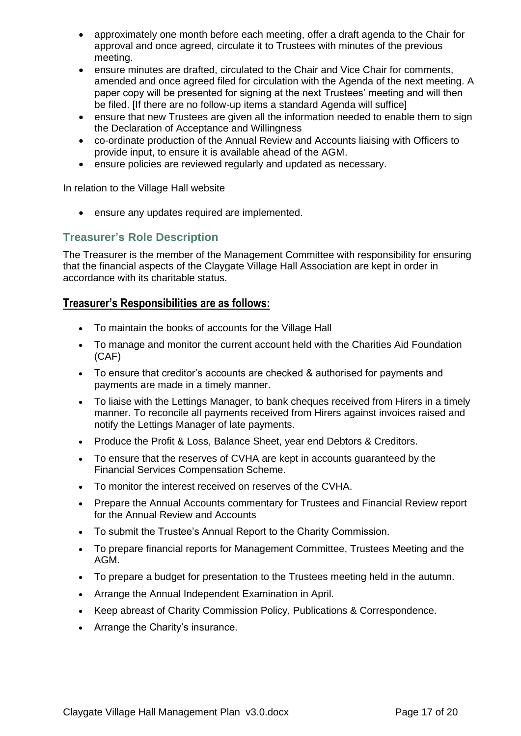- approximately one month before each meeting, offer a draft agenda to the Chair for approval and once agreed, circulate it to Trustees with minutes of the previous meeting.
- ensure minutes are drafted, circulated to the Chair and Vice Chair for comments, amended and once agreed filed for circulation with the Agenda of the next meeting. A paper copy will be presented for signing at the next Trustees' meeting and will then be filed. [If there are no follow-up items a standard Agenda will suffice]
- ensure that new Trustees are given all the information needed to enable them to sign the Declaration of Acceptance and Willingness
- co-ordinate production of the Annual Review and Accounts liaising with Officers to provide input, to ensure it is available ahead of the AGM.
- ensure policies are reviewed regularly and updated as necessary.

In relation to the Village Hall website

• ensure any updates required are implemented.

## <span id="page-16-0"></span>**Treasurer's Role Description**

The Treasurer is the member of the Management Committee with responsibility for ensuring that the financial aspects of the Claygate Village Hall Association are kept in order in accordance with its charitable status.

#### **Treasurer's Responsibilities are as follows:**

- To maintain the books of accounts for the Village Hall
- To manage and monitor the current account held with the Charities Aid Foundation (CAF)
- To ensure that creditor's accounts are checked & authorised for payments and payments are made in a timely manner.
- To liaise with the Lettings Manager, to bank cheques received from Hirers in a timely manner. To reconcile all payments received from Hirers against invoices raised and notify the Lettings Manager of late payments.
- Produce the Profit & Loss, Balance Sheet, year end Debtors & Creditors.
- To ensure that the reserves of CVHA are kept in accounts guaranteed by the Financial Services Compensation Scheme.
- To monitor the interest received on reserves of the CVHA.
- Prepare the Annual Accounts commentary for Trustees and Financial Review report for the Annual Review and Accounts
- To submit the Trustee's Annual Report to the Charity Commission.
- To prepare financial reports for Management Committee, Trustees Meeting and the AGM.
- To prepare a budget for presentation to the Trustees meeting held in the autumn.
- Arrange the Annual Independent Examination in April.
- Keep abreast of Charity Commission Policy, Publications & Correspondence.
- Arrange the Charity's insurance.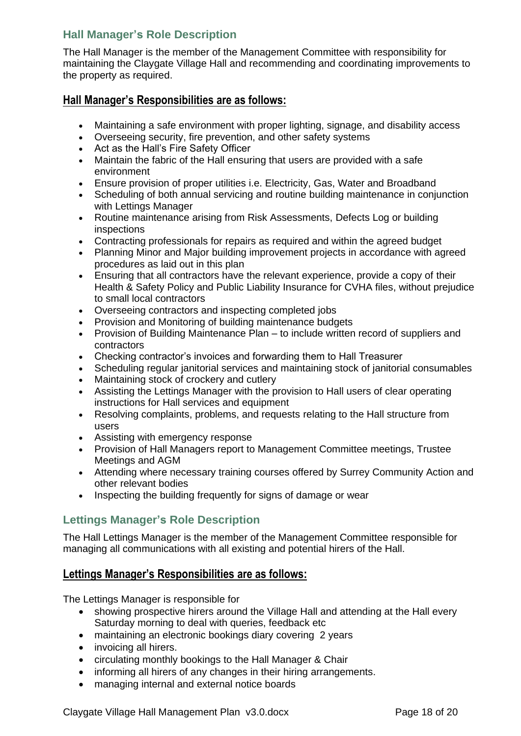# <span id="page-17-0"></span>**Hall Manager's Role Description**

The Hall Manager is the member of the Management Committee with responsibility for maintaining the Claygate Village Hall and recommending and coordinating improvements to the property as required.

### **Hall Manager's Responsibilities are as follows:**

- Maintaining a safe environment with proper lighting, signage, and disability access
- Overseeing security, fire prevention, and other safety systems
- Act as the Hall's Fire Safety Officer
- Maintain the fabric of the Hall ensuring that users are provided with a safe environment
- Ensure provision of proper utilities i.e. Electricity, Gas, Water and Broadband
- Scheduling of both annual servicing and routine building maintenance in conjunction with Lettings Manager
- Routine maintenance arising from Risk Assessments, Defects Log or building inspections
- Contracting professionals for repairs as required and within the agreed budget
- Planning Minor and Major building improvement projects in accordance with agreed procedures as laid out in this plan
- Ensuring that all contractors have the relevant experience, provide a copy of their Health & Safety Policy and Public Liability Insurance for CVHA files, without prejudice to small local contractors
- Overseeing contractors and inspecting completed jobs
- Provision and Monitoring of building maintenance budgets
- Provision of Building Maintenance Plan to include written record of suppliers and contractors
- Checking contractor's invoices and forwarding them to Hall Treasurer
- Scheduling regular janitorial services and maintaining stock of janitorial consumables
- Maintaining stock of crockery and cutlery
- Assisting the Lettings Manager with the provision to Hall users of clear operating instructions for Hall services and equipment
- Resolving complaints, problems, and requests relating to the Hall structure from users
- Assisting with emergency response
- Provision of Hall Managers report to Management Committee meetings, Trustee Meetings and AGM
- Attending where necessary training courses offered by Surrey Community Action and other relevant bodies
- Inspecting the building frequently for signs of damage or wear

#### <span id="page-17-1"></span>**Lettings Manager's Role Description**

The Hall Lettings Manager is the member of the Management Committee responsible for managing all communications with all existing and potential hirers of the Hall.

#### **Lettings Manager's Responsibilities are as follows:**

The Lettings Manager is responsible for

- showing prospective hirers around the Village Hall and attending at the Hall every Saturday morning to deal with queries, feedback etc
- maintaining an electronic bookings diary covering 2 years
- invoicing all hirers.
- circulating monthly bookings to the Hall Manager & Chair
- informing all hirers of any changes in their hiring arrangements.
- managing internal and external notice boards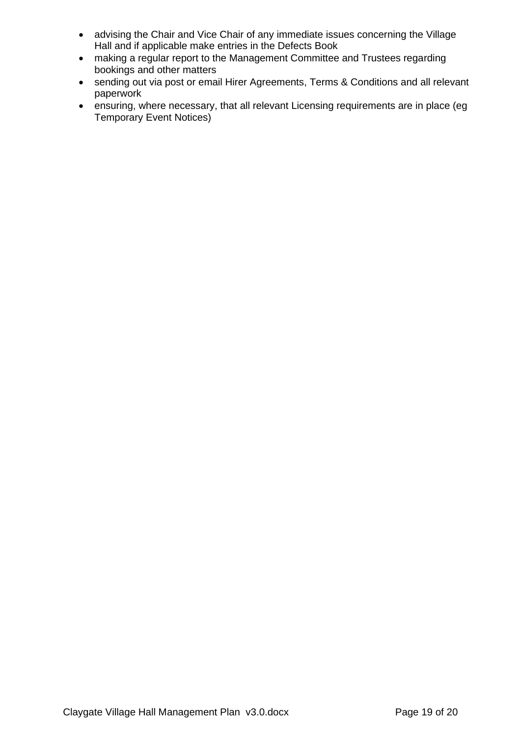- advising the Chair and Vice Chair of any immediate issues concerning the Village Hall and if applicable make entries in the Defects Book
- making a regular report to the Management Committee and Trustees regarding bookings and other matters
- sending out via post or email Hirer Agreements, Terms & Conditions and all relevant paperwork
- ensuring, where necessary, that all relevant Licensing requirements are in place (eg Temporary Event Notices)